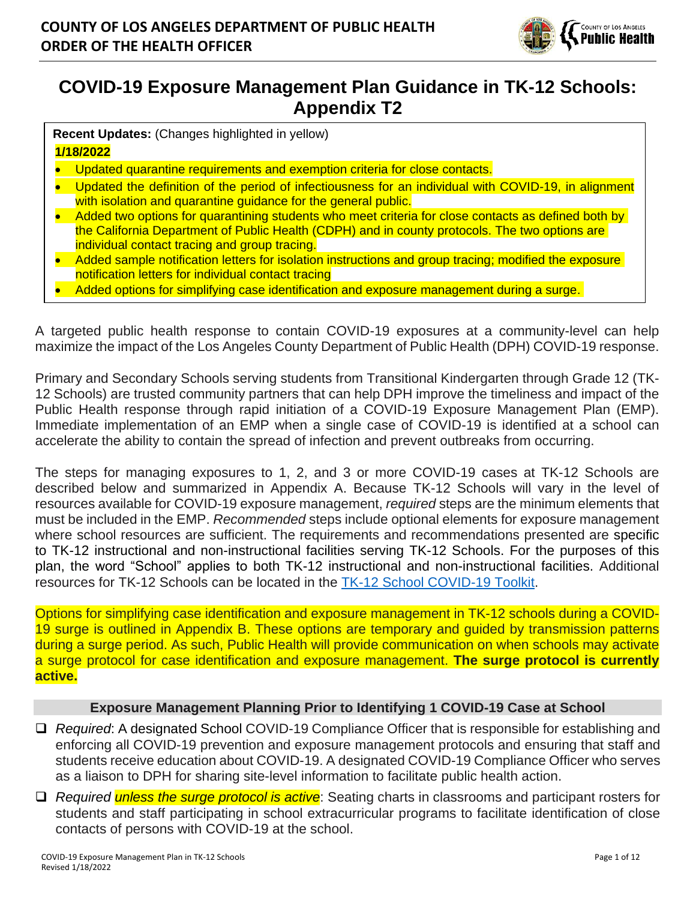

# **COVID-19 Exposure Management Plan Guidance in TK-12 Schools: Appendix T2**

| Recent Updates: (Changes highlighted in yellow) |  |  |
|-------------------------------------------------|--|--|
| 1/18/2022                                       |  |  |

- Updated quarantine requirements and exemption criteria for close contacts.
- Updated the definition of the period of infectiousness for an individual with COVID-19, in alignment with isolation and quarantine guidance for the general public.
- Added two options for quarantining students who meet criteria for close contacts as defined both by the California Department of Public Health (CDPH) and in county protocols. The two options are individual contact tracing and group tracing.
- Added sample notification letters for isolation instructions and group tracing; modified the exposure notification letters for individual contact tracing
- Added options for simplifying case identification and exposure management during a surge.

A targeted public health response to contain COVID-19 exposures at a community-level can help maximize the impact of the Los Angeles County Department of Public Health (DPH) COVID-19 response.

Primary and Secondary Schools serving students from Transitional Kindergarten through Grade 12 (TK-12 Schools) are trusted community partners that can help DPH improve the timeliness and impact of the Public Health response through rapid initiation of a COVID-19 Exposure Management Plan (EMP). Immediate implementation of an EMP when a single case of COVID-19 is identified at a school can accelerate the ability to contain the spread of infection and prevent outbreaks from occurring.

The steps for managing exposures to 1, 2, and 3 or more COVID-19 cases at TK-12 Schools are described below and summarized in Appendix A. Because TK-12 Schools will vary in the level of resources available for COVID-19 exposure management, *required* steps are the minimum elements that must be included in the EMP. *Recommended* steps include optional elements for exposure management where school resources are sufficient. The requirements and recommendations presented are specific to TK-12 instructional and non-instructional facilities serving TK-12 Schools. For the purposes of this plan, the word "School" applies to both TK-12 instructional and non-instructional facilities. Additional resources for TK-12 Schools can be located in the [TK-12 School COVID-19 Toolkit.](http://ph.lacounty.gov/acd/ncorona2019/EducationToolkit/TK12/)

Options for simplifying case identification and exposure management in TK-12 schools during a COVID-19 surge is outlined in Appendix B. These options are temporary and guided by transmission patterns during a surge period. As such, Public Health will provide communication on when schools may activate a surge protocol for case identification and exposure management. **The surge protocol is currently active.**

### **Exposure Management Planning Prior to Identifying 1 COVID-19 Case at School**

- ❑ *Required*: A designated School COVID-19 Compliance Officer that is responsible for establishing and enforcing all COVID-19 prevention and exposure management protocols and ensuring that staff and students receive education about COVID-19. A designated COVID-19 Compliance Officer who serves as a liaison to DPH for sharing site-level information to facilitate public health action.
- ❑ *Required unless the surge protocol is active*: Seating charts in classrooms and participant rosters for students and staff participating in school extracurricular programs to facilitate identification of close contacts of persons with COVID-19 at the school.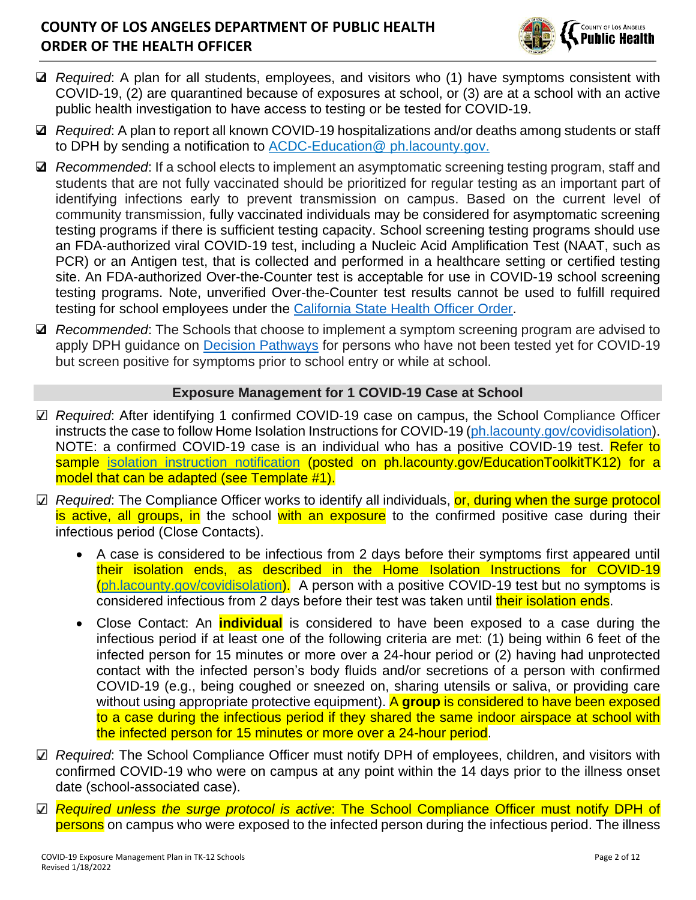## **COUNTY OF LOS ANGELES DEPARTMENT OF PUBLIC HEALTH ORDER OF THE HEALTH OFFICER**



- ❑ *Required*: A plan for all students, employees, and visitors who (1) have symptoms consistent with COVID-19, (2) are quarantined because of exposures at school, or (3) are at a school with an active public health investigation to have access to testing or be tested for COVID-19.
- ❑ *Required*: A plan to report all known COVID-19 hospitalizations and/or deaths among students or staff to DPH by sending a notification to [ACDC-Education@ ph.lacounty.gov.](mailto:ACDC-Education@ph.lacounty.gov)
- ❑ *Recommended*: If a school elects to implement an asymptomatic screening testing program, staff and students that are not fully vaccinated should be prioritized for regular testing as an important part of identifying infections early to prevent transmission on campus. Based on the current level of community transmission, fully vaccinated individuals may be considered for asymptomatic screening testing programs if there is sufficient testing capacity. School screening testing programs should use an FDA-authorized viral COVID-19 test, including a Nucleic Acid Amplification Test (NAAT, such as PCR) or an Antigen test, that is collected and performed in a healthcare setting or certified testing site. An FDA-authorized Over-the-Counter test is acceptable for use in COVID-19 school screening testing programs. Note, unverified Over-the-Counter test results cannot be used to fulfill required testing for school employees under the [California State Health Officer Order.](https://www.cdph.ca.gov/Programs/CID/DCDC/Pages/COVID-19/Order-of-the-State-Public-Health-Officer-Vaccine-Verification-for-Workers-in-Schools.aspx)
- ❑ *Recommended*: The Schools that choose to implement a symptom screening program are advised to apply DPH guidance on [Decision Pathways](http://publichealth.lacounty.gov/media/Coronavirus/docs/education/ScreeningEducationSettings.pdf) for persons who have not been tested yet for COVID-19 but screen positive for symptoms prior to school entry or while at school.

#### **Exposure Management for 1 COVID-19 Case at School**

- ☐ *Required*: After identifying 1 confirmed COVID-19 case on campus, the School Compliance Officer instructs the case to follow Home Isolation Instructions for COVID-19 [\(ph.lacounty.gov/covidisolation\)](http://publichealth.lacounty.gov/acd/ncorona2019/covidisolation/). NOTE: a confirmed COVID-19 case is an individual who has a positive COVID-19 test. Refer to sample [isolation instruction notification](http://publichealth.lacounty.gov/acd/Diseases/EpiForms/SampleSchoolIsolationandExposureNotificationLettersDuringSurge.docx) (posted on ph.lacounty.gov/EducationToolkitTK12) for a model that can be adapted (see Template #1).
- **sqrt** *Required*: The Compliance Officer works to identify all individuals, or, during when the surge protocol is active, all groups, in the school with an exposure to the confirmed positive case during their infectious period (Close Contacts).
	- A case is considered to be infectious from 2 days before their symptoms first appeared until their isolation ends, as described in the Home Isolation Instructions for COVID-19 [\(ph.lacounty.gov/covidisolation\)](http://publichealth.lacounty.gov/acd/ncorona2019/covidisolation/). A person with a positive COVID-19 test but no symptoms is considered infectious from 2 days before their test was taken until their isolation ends.
	- Close Contact: An **individual** is considered to have been exposed to a case during the infectious period if at least one of the following criteria are met: (1) being within 6 feet of the infected person for 15 minutes or more over a 24-hour period or (2) having had unprotected contact with the infected person's body fluids and/or secretions of a person with confirmed COVID-19 (e.g., being coughed or sneezed on, sharing utensils or saliva, or providing care without using appropriate protective equipment). A **group** is considered to have been exposed to a case during the infectious period if they shared the same indoor airspace at school with the infected person for 15 minutes or more over a 24-hour period.
- ☐ *Required*: The School Compliance Officer must notify DPH of employees, children, and visitors with confirmed COVID-19 who were on campus at any point within the 14 days prior to the illness onset date (school-associated case).
- ☐ *Required unless the surge protocol is active*: The School Compliance Officer must notify DPH of persons on campus who were exposed to the infected person during the infectious period. The illness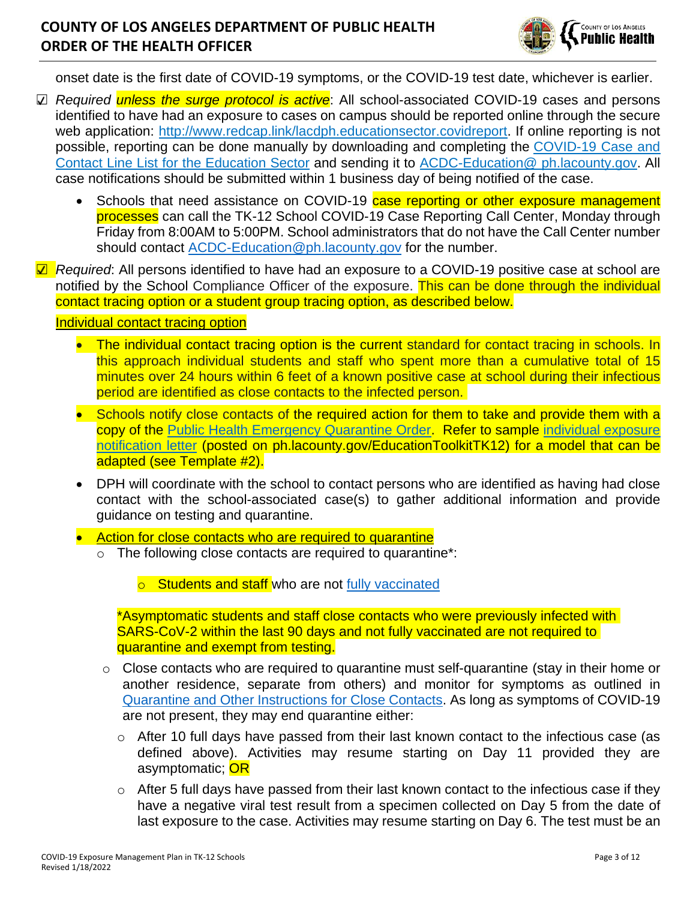

onset date is the first date of COVID-19 symptoms, or the COVID-19 test date, whichever is earlier.

- ☐ *Required unless the surge protocol is active*: All school-associated COVID-19 cases and persons identified to have had an exposure to cases on campus should be reported online through the secure web application: [http://www.redcap.link/lacdph.educationsector.covidreport.](http://www.redcap.link/lacdph.educationsector.covidreport) If online reporting is not possible, reporting can be done manually by downloading and completing the [COVID-19 Case and](http://publichealth.lacounty.gov/acd/Diseases/EpiForms/COVID_OBlinelist_Education_Sector.xlsm)  [Contact Line List for the Education Sector](http://publichealth.lacounty.gov/acd/Diseases/EpiForms/COVID_OBlinelist_Education_Sector.xlsm) and sending it to [ACDC-Education@ ph.lacounty.gov.](mailto:ACDC-Education@ph.lacounty.gov) All case notifications should be submitted within 1 business day of being notified of the case.
	- Schools that need assistance on COVID-19 case reporting or other exposure management processes can call the TK-12 School COVID-19 Case Reporting Call Center, Monday through Friday from 8:00AM to 5:00PM. School administrators that do not have the Call Center number should contact [ACDC-Education@ph.lacounty.gov](mailto:ACDC-Education@ph.lacounty.gov) for the number.
- ☐ *Required*: All persons identified to have had an exposure to a COVID-19 positive case at school are notified by the School Compliance Officer of the exposure. This can be done through the individual contact tracing option or a student group tracing option, as described below.

Individual contact tracing option

- The individual contact tracing option is the current standard for contact tracing in schools. In this approach individual students and staff who spent more than a cumulative total of 15 minutes over 24 hours within 6 feet of a known positive case at school during their infectious period are identified as close contacts to the infected person.
- Schools notify close contacts of the required action for them to take and provide them with a copy of the [Public Health Emergency Quarantine Order.](http://publichealth.lacounty.gov/media/coronavirus/docs/HOO/HOO_Coronavirus_Blanket_Quarantine.pdf) Refer to sample [individual exposure](http://publichealth.lacounty.gov/acd/Diseases/EpiForms/SampleSchoolIsolationandExposureNotificationLettersDuringSurge.docx)  [notification letter](http://publichealth.lacounty.gov/acd/Diseases/EpiForms/SampleSchoolIsolationandExposureNotificationLettersDuringSurge.docx) (posted on ph.lacounty.gov/EducationToolkitTK12) for a model that can be adapted (see Template #2).
- DPH will coordinate with the school to contact persons who are identified as having had close contact with the school-associated case(s) to gather additional information and provide guidance on testing and quarantine.
- Action for close contacts who are required to quarantine
	- o The following close contacts are required to quarantine\*:

**Students and staff who are not [fully vaccinated](http://publichealth.lacounty.gov/acd/ncorona2019/vaccine/fullyvaccinated/)** 

\*Asymptomatic students and staff close contacts who were previously infected with SARS-CoV-2 within the last 90 days and not fully vaccinated are not required to quarantine and exempt from testing.

- o Close contacts who are required to quarantine must self-quarantine (stay in their home or another residence, separate from others) and monitor for symptoms as outlined in [Quarantine and Other Instructions for Close Contacts.](http://publichealth.lacounty.gov/acd/ncorona2019/covidquarantine/) As long as symptoms of COVID-19 are not present, they may end quarantine either:
	- o After 10 full days have passed from their last known contact to the infectious case (as defined above). Activities may resume starting on Day 11 provided they are asymptomatic; OR
	- $\circ$  After 5 full days have passed from their last known contact to the infectious case if they have a negative viral test result from a specimen collected on Day 5 from the date of last exposure to the case. Activities may resume starting on Day 6. The test must be an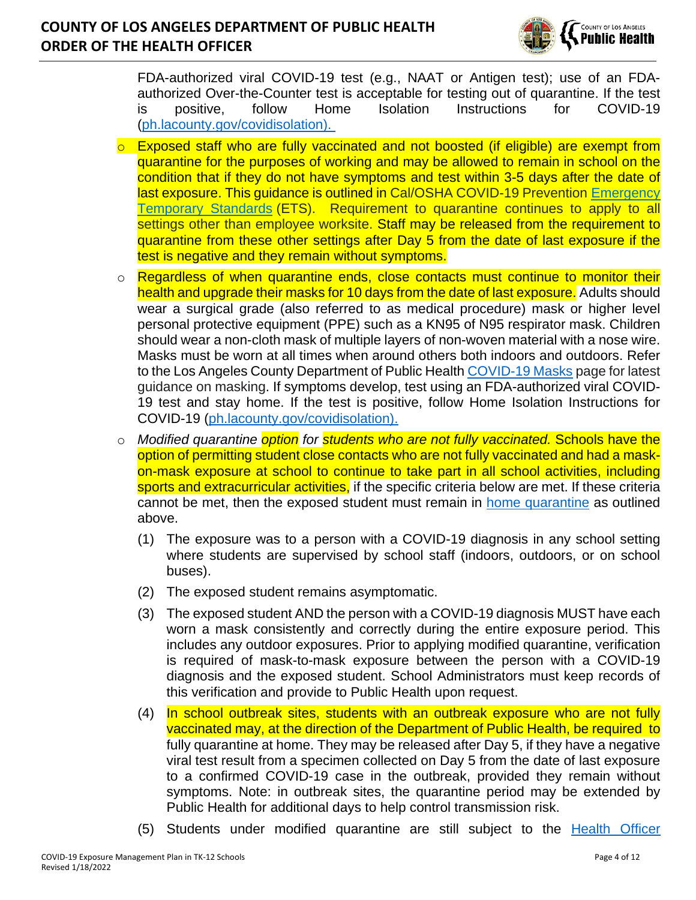

FDA-authorized viral COVID-19 test (e.g., NAAT or Antigen test); use of an FDAauthorized Over-the-Counter test is acceptable for testing out of quarantine. If the test is positive, follow Home Isolation Instructions for COVID-19 [\(ph.lacounty.gov/covidisolation\)](http://publichealth.lacounty.gov/acd/ncorona2019/covidisolation/).

- o Exposed staff who are fully vaccinated and not boosted (if eligible) are exempt from quarantine for the purposes of working and may be allowed to remain in school on the condition that if they do not have symptoms and test within 3-5 days after the date of last exposure. This guidance is outlined in Cal/OSHA COVID-19 Prevention [Emergency](https://www.dir.ca.gov/dosh/coronavirus/ETS.html)  [Temporary Standards](https://www.dir.ca.gov/dosh/coronavirus/ETS.html) (ETS). Requirement to quarantine continues to apply to all settings other than employee worksite. Staff may be released from the requirement to quarantine from these other settings after Day 5 from the date of last exposure if the test is negative and they remain without symptoms.
- o Regardless of when quarantine ends, close contacts must continue to monitor their health and upgrade their masks for 10 days from the date of last exposure. Adults should wear a surgical grade (also referred to as medical procedure) mask or higher level personal protective equipment (PPE) such as a KN95 of N95 respirator mask. Children should wear a non-cloth mask of multiple layers of non-woven material with a nose wire. Masks must be worn at all times when around others both indoors and outdoors. Refer to the Los Angeles County Department of Public Health [COVID-19 Masks](http://publichealth.lacounty.gov/acd/ncorona2019/masks/) page for latest guidance on masking. If symptoms develop, test using an FDA-authorized viral COVID-19 test and stay home. If the test is positive, follow Home Isolation Instructions for COVID-19 [\(ph.lacounty.gov/covidisolation\)](http://publichealth.lacounty.gov/acd/ncorona2019/covidisolation/).
- o *Modified quarantine option for students who are not fully vaccinated.* Schools have the option of permitting student close contacts who are not fully vaccinated and had a maskon-mask exposure at school to continue to take part in all school activities, including sports and extracurricular activities, if the specific criteria below are met. If these criteria cannot be met, then the exposed student must remain in [home quarantine](http://publichealth.lacounty.gov/acd/ncorona2019/covidquarantine/) as outlined above.
	- (1) The exposure was to a person with a COVID-19 diagnosis in any school setting where students are supervised by school staff (indoors, outdoors, or on school buses).
	- (2) The exposed student remains asymptomatic.
	- (3) The exposed student AND the person with a COVID-19 diagnosis MUST have each worn a mask consistently and correctly during the entire exposure period. This includes any outdoor exposures. Prior to applying modified quarantine, verification is required of mask-to-mask exposure between the person with a COVID-19 diagnosis and the exposed student. School Administrators must keep records of this verification and provide to Public Health upon request.
	- (4) In school outbreak sites, students with an outbreak exposure who are not fully vaccinated may, at the direction of the Department of Public Health, be required to fully quarantine at home. They may be released after Day 5, if they have a negative viral test result from a specimen collected on Day 5 from the date of last exposure to a confirmed COVID-19 case in the outbreak, provided they remain without symptoms. Note: in outbreak sites, the quarantine period may be extended by Public Health for additional days to help control transmission risk.
	- (5) Students under modified quarantine are still subject to the [Health Officer](http://publichealth.lacounty.gov/media/Coronavirus/docs/HOO/HOO_Coronavirus_Blanket_Quarantine.pdf)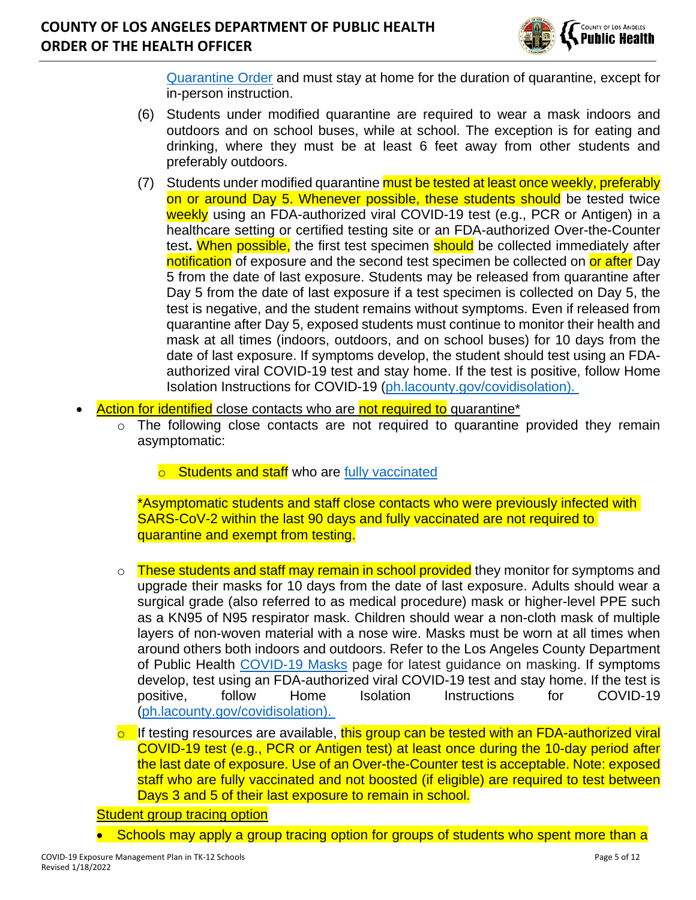

[Quarantine Order](http://publichealth.lacounty.gov/media/Coronavirus/docs/HOO/HOO_Coronavirus_Blanket_Quarantine.pdf) and must stay at home for the duration of quarantine, except for in-person instruction.

- (6) Students under modified quarantine are required to wear a mask indoors and outdoors and on school buses, while at school. The exception is for eating and drinking, where they must be at least 6 feet away from other students and preferably outdoors.
- (7) Students under modified quarantine must be tested at least once weekly, preferably on or around Day 5. Whenever possible, these students should be tested twice weekly using an FDA-authorized viral COVID-19 test (e.g., PCR or Antigen) in a healthcare setting or certified testing site or an FDA-authorized Over-the-Counter test. When possible, the first test specimen **should** be collected immediately after notification of exposure and the second test specimen be collected on or after Day 5 from the date of last exposure. Students may be released from quarantine after Day 5 from the date of last exposure if a test specimen is collected on Day 5, the test is negative, and the student remains without symptoms. Even if released from quarantine after Day 5, exposed students must continue to monitor their health and mask at all times (indoors, outdoors, and on school buses) for 10 days from the date of last exposure. If symptoms develop, the student should test using an FDAauthorized viral COVID-19 test and stay home. If the test is positive, follow Home Isolation Instructions for COVID-19 [\(ph.lacounty.gov/covidisolation\)](http://publichealth.lacounty.gov/acd/ncorona2019/covidisolation/).
- Action for identified close contacts who are not required to quarantine<sup>\*</sup>
	- o The following close contacts are not required to quarantine provided they remain asymptomatic:
		- **o** Students and staff who are [fully vaccinated](http://publichealth.lacounty.gov/acd/ncorona2019/vaccine/fullyvaccinated/)

\*Asymptomatic students and staff close contacts who were previously infected with SARS-CoV-2 within the last 90 days and fully vaccinated are not required to quarantine and exempt from testing.

- o These students and staff may remain in school provided they monitor for symptoms and upgrade their masks for 10 days from the date of last exposure. Adults should wear a surgical grade (also referred to as medical procedure) mask or higher-level PPE such as a KN95 of N95 respirator mask. Children should wear a non-cloth mask of multiple layers of non-woven material with a nose wire. Masks must be worn at all times when around others both indoors and outdoors. Refer to the Los Angeles County Department of Public Health [COVID-19 Masks](http://publichealth.lacounty.gov/acd/ncorona2019/masks/) page for latest guidance on masking. If symptoms develop, test using an FDA-authorized viral COVID-19 test and stay home. If the test is positive, follow Home Isolation Instructions for COVID-19 [\(ph.lacounty.gov/covidisolation\)](http://publichealth.lacounty.gov/acd/ncorona2019/covidisolation/).
- $\circ$  If testing resources are available, this group can be tested with an FDA-authorized viral COVID-19 test (e.g., PCR or Antigen test) at least once during the 10-day period after the last date of exposure. Use of an Over-the-Counter test is acceptable. Note: exposed staff who are fully vaccinated and not boosted (if eligible) are required to test between Days 3 and 5 of their last exposure to remain in school.

Student group tracing option

Schools may apply a group tracing option for groups of students who spent more than a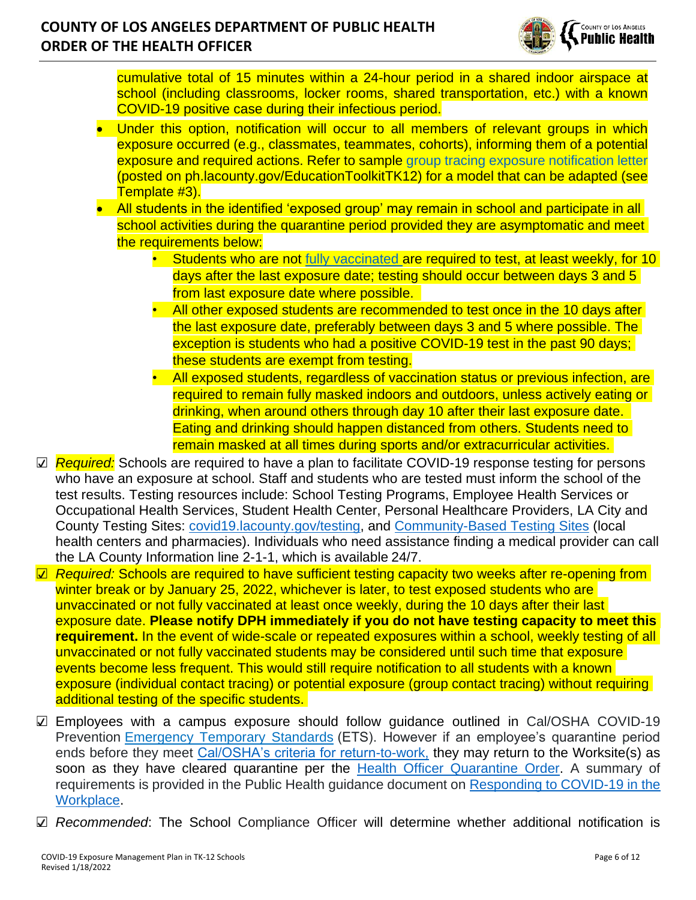## **COUNTY OF LOS ANGELES DEPARTMENT OF PUBLIC HEALTH ORDER OF THE HEALTH OFFICER**



cumulative total of 15 minutes within a 24-hour period in a shared indoor airspace at school (including classrooms, locker rooms, shared transportation, etc.) with a known COVID-19 positive case during their infectious period.

- Under this option, notification will occur to all members of relevant groups in which exposure occurred (e.g., classmates, teammates, cohorts), informing them of a potential exposure and required actions. Refer to sample [group tracing exposure notification letter](http://publichealth.lacounty.gov/acd/Diseases/EpiForms/SampleSchoolIsolationandExposureNotificationLettersDuringSurge.docx) (posted on ph.lacounty.gov/EducationToolkitTK12) for a model that can be adapted (see Template #3).
- All students in the identified 'exposed group' may remain in school and participate in all school activities during the quarantine period provided they are asymptomatic and meet the requirements below:
	- Students who are not [fully vaccinated](http://publichealth.lacounty.gov/acd/ncorona2019/vaccine/fullyvaccinated/) are required to test, at least weekly, for 10 days after the last exposure date; testing should occur between days 3 and 5 from last exposure date where possible.
	- All other exposed students are recommended to test once in the 10 days after the last exposure date, preferably between days 3 and 5 where possible. The exception is students who had a positive COVID-19 test in the past 90 days; these students are exempt from testing.
	- All exposed students, regardless of vaccination status or previous infection, are required to remain fully masked indoors and outdoors, unless actively eating or drinking, when around others through day 10 after their last exposure date. Eating and drinking should happen distanced from others. Students need to remain masked at all times during sports and/or extracurricular activities.
- **☑ Required:** Schools are required to have a plan to facilitate COVID-19 response testing for persons who have an exposure at school. Staff and students who are tested must inform the school of the test results. Testing resources include: School Testing Programs, Employee Health Services or Occupational Health Services, Student Health Center, Personal Healthcare Providers, LA City and County Testing Sites: [covid19.lacounty.gov/testing,](https://covid19.lacounty.gov/testing/) and [Community-Based Testing Sites](https://www.hhs.gov/coronavirus/community-based-testing-sites/index.html) (local health centers and pharmacies). Individuals who need assistance finding a medical provider can call the LA County Information line 2-1-1, which is available 24/7.
- ☐ *Required:* Schools are required to have sufficient testing capacity two weeks after re-opening from winter break or by January 25, 2022, whichever is later, to test exposed students who are unvaccinated or not fully vaccinated at least once weekly, during the 10 days after their last exposure date. **Please notify DPH immediately if you do not have testing capacity to meet this requirement.** In the event of wide-scale or repeated exposures within a school, weekly testing of all unvaccinated or not fully vaccinated students may be considered until such time that exposure events become less frequent. This would still require notification to all students with a known exposure (individual contact tracing) or potential exposure (group contact tracing) without requiring additional testing of the specific students.
- ☐ Employees with a campus exposure should follow guidance outlined in Cal/OSHA COVID-19 Prevention [Emergency Temporary Standards](https://www.dir.ca.gov/dosh/coronavirus/ETS.html) (ETS). However if an employee's quarantine period ends before they meet [Cal/OSHA's criteria for return-to-work,](https://dir.ca.gov/dosh/coronavirus/COVID19FAQs.html#outbreaks) they may return to the Worksite(s) as soon as they have cleared quarantine per the [Health Officer Quarantine Order.](http://publichealth.lacounty.gov/media/coronavirus/docs/HOO/HOO_Coronavirus_Blanket_Quarantine.pdf) A summary of requirements is provided in the Public Health guidance document on [Responding to COVID-19 in the](http://publichealth.lacounty.gov/acd/ncorona2019/workplaceresponse/)  [Workplace.](http://publichealth.lacounty.gov/acd/ncorona2019/workplaceresponse/)
- ☐ *Recommended*: The School Compliance Officer will determine whether additional notification is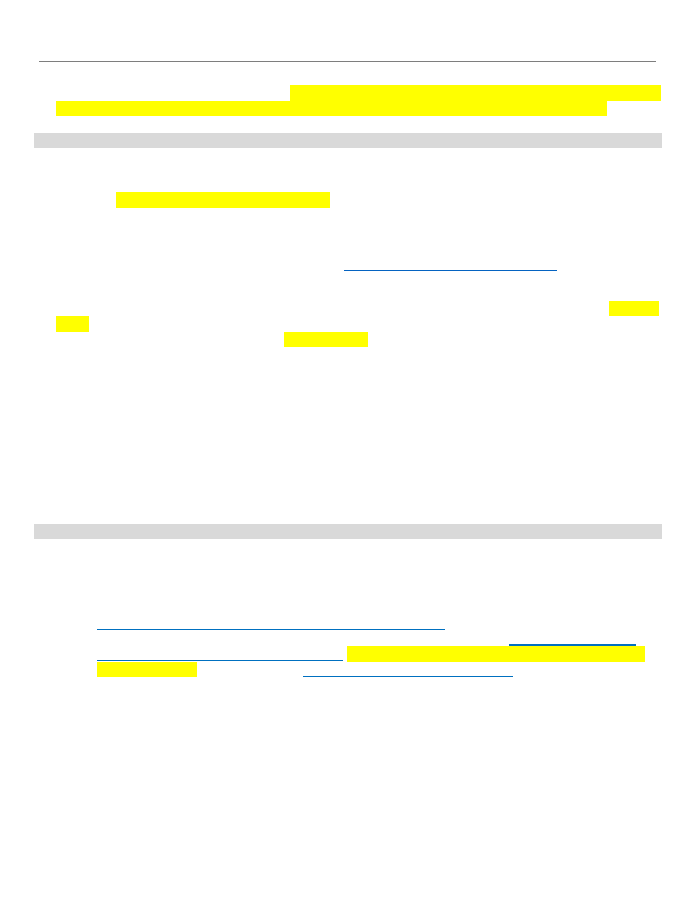## COUNTY OF LOS ANGELES DEPARTMENT OF PUBLI ORDER OF THE HEALTH OFFICER

needed to inform the wider school community about the school exposure and precautions beingtaken to prevent spread of COVID-19. Refer to sample [general notification letter](http://publichealth.lacounty.gov/acd/Diseases/EpiForms/SampleSchoolIsolationandExposureNotificationLettersDuringSurge.docx) (posted on ph.lacounty.gov/EducationToolkitTK12) for a model that can be adapted (see Template #4).

Exposure Management for 2 COVID-19 Cases at School within a 14 -day Period

 Required: After identifying 2 confirmed cases within a 14-day period, the school follows the required steps for 1 confirmed case.

Required unless the surge protocol is active: The School Compliance Officer consults with Public Health to determine whether the 2 cases are epidemiologically linked, meaning that the two affected individuals were both present at some point in the same setting during the same time period while either or both were infectious.\* Schools should contact DPH for assistance in determining whether cases are epidemiologically linked by emailing [ACDC-Education@ph.lacounty.gov](mailto:ACDC-Education@ph.lacounty.gov) or by calling the TK-12 School COVID-19 Case Reporting Call Center.

\*A case is considered to be infectious from 2 days before symptoms first appeared until isolation ends. A person with a positive COVID-19 test but no symptoms is considered to be infectious from 2 days before their test was taken until isolation ends.

Determination of epidemiological links between cases may require further investigation to assess exposure history and identify all possible locations and persons that may havebeen exposed to the case while infectious at the site. NOTE: Epidemiologically linked cases include persons with identifiable connections to each other such as sharing a physical space (e.g., in a classroom, school event, sports team, other extracurricular activities, school transportation, office site), indicating a higher likelihood of linked spread of disease in that setting rather than sporadic transmission from the broader community. If epidemiological links exist, DPH will advise the school on important steps to take and communications to students and employees on precautions to take to prevent further spread at the school, including implementation of site- specific interventions for infection control.

Exposure Management for •COVID-19 Cases at School within a 14 -day Period

‰ Required: If the school identifies a cluster of 3 or more confirmed cases within a 14-day period, the school should proceed with the following steps:

- x Report the cluster immediately to DPH by calling the TK-12 School COVID-19 Case Reporting Call Center or by submitting a report online at: [http://www.redcap.link/lacdph.educationsector.covidreport.](http://www.redcap.link/lacdph.educationsector.covidreport) If online reporting is not possible, reporting can be done manually by downloading and completing the [COVID-19 Case and](http://publichealth.lacounty.gov/acd/Diseases/EpiForms/COVID_OBlinelist_Education_Sector.xlsm)  [Contact Line List for the Education Sector](http://publichealth.lacounty.gov/acd/Diseases/EpiForms/COVID_OBlinelist_Education_Sector.xlsm) or, during when the surge protocol is active, using any other format, and sending it to [ACDC-Education@ph.lacounty.gov.](mailto:ACDC-Education@ph.lacounty.gov)
- x Outbreak Criteria: At least 3 confirmed cases of COVID-19 within a 14-day period of each other in a specified group\* with members who are epidemiologically linked, do not share a household, and are not a close contact of each other outside of the campus.

\*Specified groups include persons that share a common membership at school (e.g., classroom, school event, sport teams, other school extracurricular activities, school transportation, office site). Epidemiological links require the infected persons to have been present at some point in the same setting during the same time period while infectious.

x NOTE: For overni JKW  $FDPSV/D<sup>3</sup>KRXM$ dealth  $RADi$  and  $RCRM$  who cannot and staff) who are staying together in a cabin, bunkhouse, or similar space. Additional guidance regarding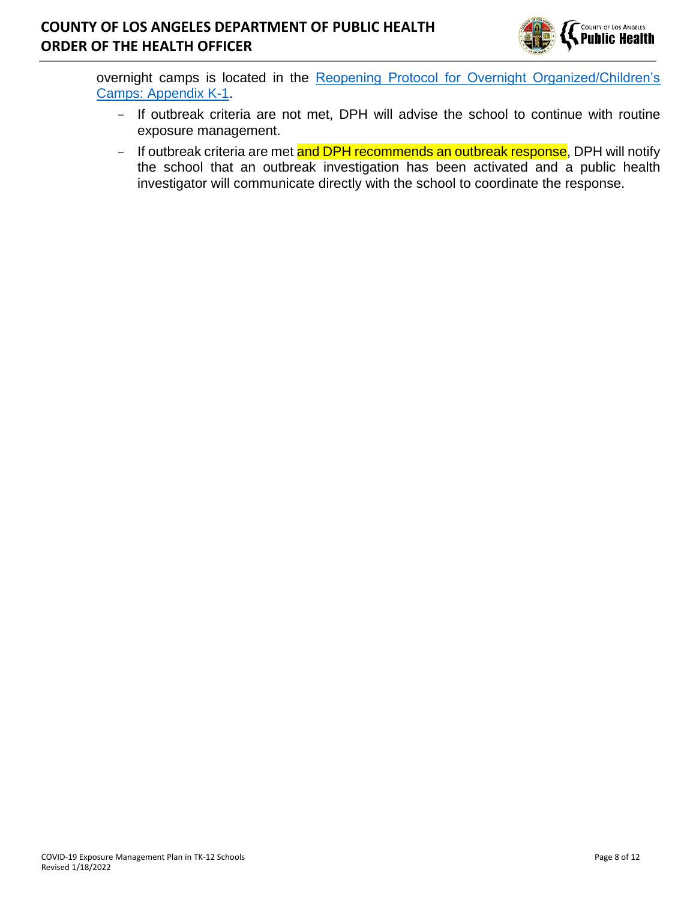overnight camps is located in the Reopening Protocol for Overnight Organized/Children's [Camps: Appendix K-1.](http://publichealth.lacounty.gov/media/coronavirus/docs/protocols/Reopening_OvernightCamps.pdf)

- If outbreak criteria are not met, DPH will advise the school to continue with routine exposure management.
- If outbreak criteria are met and DPH recommends an outbreak response, DPH will notify the school that an outbreak investigation has been activated and a public health investigator will communicate directly with the school to coordinate the response.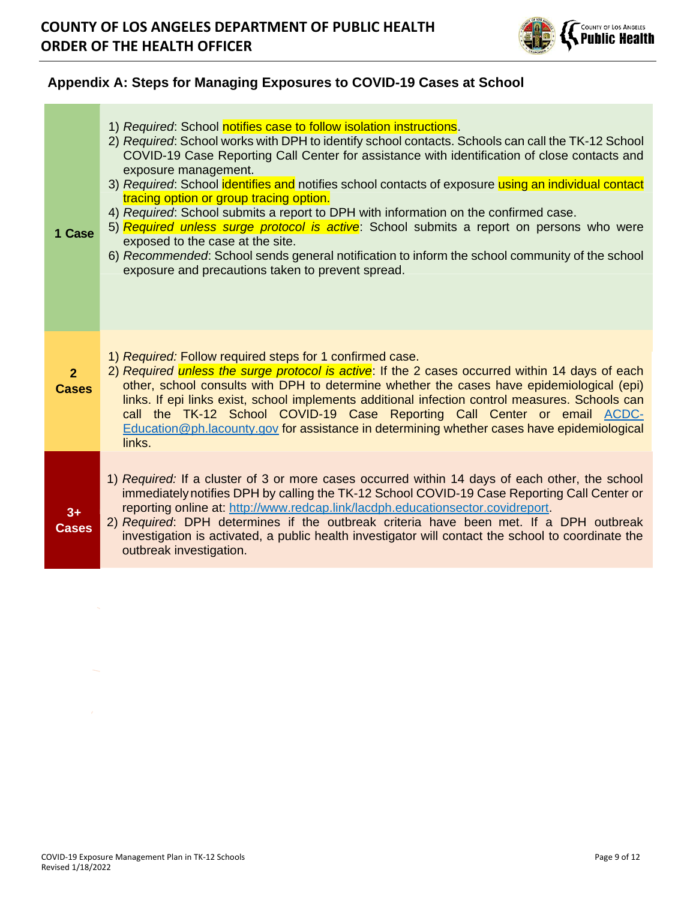

## **Appendix A: Steps for Managing Exposures to COVID-19 Cases at School**

| 1 Case                         | 1) Required: School notifies case to follow isolation instructions.<br>2) Required: School works with DPH to identify school contacts. Schools can call the TK-12 School<br>COVID-19 Case Reporting Call Center for assistance with identification of close contacts and<br>exposure management.<br>3) Required: School identifies and notifies school contacts of exposure using an individual contact<br>tracing option or group tracing option.<br>4) Required: School submits a report to DPH with information on the confirmed case.<br>5) Required unless surge protocol is active: School submits a report on persons who were<br>exposed to the case at the site.<br>6) Recommended: School sends general notification to inform the school community of the school<br>exposure and precautions taken to prevent spread. |
|--------------------------------|----------------------------------------------------------------------------------------------------------------------------------------------------------------------------------------------------------------------------------------------------------------------------------------------------------------------------------------------------------------------------------------------------------------------------------------------------------------------------------------------------------------------------------------------------------------------------------------------------------------------------------------------------------------------------------------------------------------------------------------------------------------------------------------------------------------------------------|
| 2 <sup>1</sup><br><b>Cases</b> | 1) Required: Follow required steps for 1 confirmed case.<br>2) Required unless the surge protocol is active: If the 2 cases occurred within 14 days of each<br>other, school consults with DPH to determine whether the cases have epidemiological (epi)<br>links. If epi links exist, school implements additional infection control measures. Schools can<br>call the TK-12 School COVID-19 Case Reporting Call Center or email ACDC-<br>Education@ph.lacounty.gov for assistance in determining whether cases have epidemiological<br>links.                                                                                                                                                                                                                                                                                  |
| $3+$<br><b>Cases</b>           | 1) Required: If a cluster of 3 or more cases occurred within 14 days of each other, the school<br>immediately notifies DPH by calling the TK-12 School COVID-19 Case Reporting Call Center or<br>reporting online at: http://www.redcap.link/lacdph.educationsector.covidreport.<br>2) Required: DPH determines if the outbreak criteria have been met. If a DPH outbreak<br>investigation is activated, a public health investigator will contact the school to coordinate the<br>outbreak investigation.                                                                                                                                                                                                                                                                                                                       |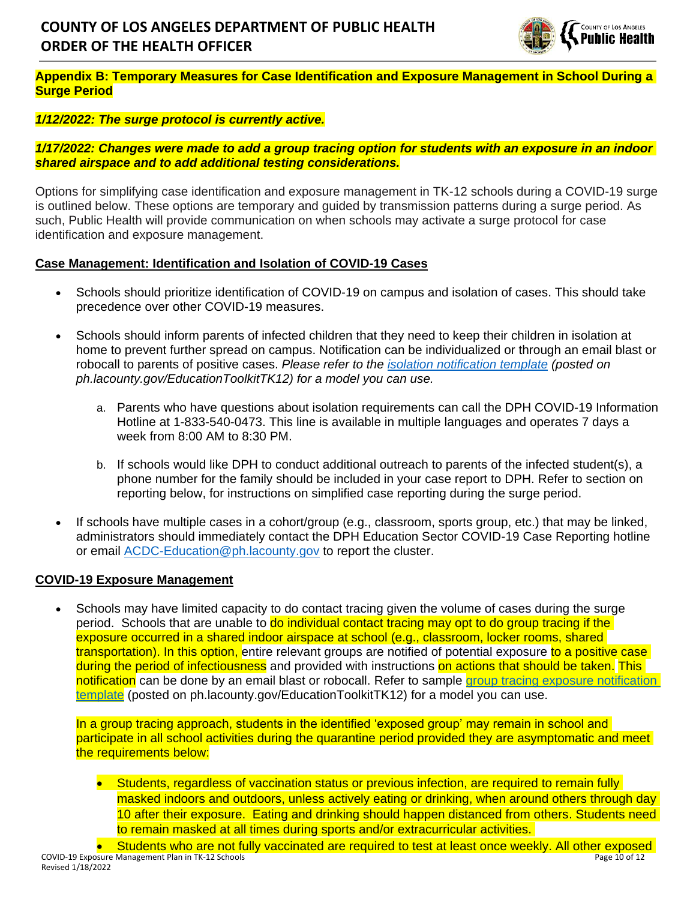**Appendix B: Temporary Measures for Case Identification and Exposure Management in School During a Surge Period**

#### *1/12/2022: The surge protocol is currently active.*

*1/17/2022: Changes were made to add a group tracing option for students with an exposure in an indoor shared airspace and to add additional testing considerations.*

Options for simplifying case identification and exposure management in TK-12 schools during a COVID-19 surge is outlined below. These options are temporary and guided by transmission patterns during a surge period. As such, Public Health will provide communication on when schools may activate a surge protocol for case identification and exposure management.

#### **Case Management: Identification and Isolation of COVID-19 Cases**

- Schools should prioritize identification of COVID-19 on campus and isolation of cases. This should take precedence over other COVID-19 measures.
- Schools should inform parents of infected children that they need to keep their children in isolation at home to prevent further spread on campus. Notification can be individualized or through an email blast or robocall to parents of positive cases. *Please refer to the isolation [notification](http://publichealth.lacounty.gov/acd/Diseases/EpiForms/SampleSchoolIsolationandExposureNotificationLettersDuringSurge.docx) template (posted on ph.lacounty.gov/EducationToolkitTK12) for a model you can use.*
	- a. Parents who have questions about isolation requirements can call the DPH COVID-19 Information Hotline at 1-833-540-0473. This line is available in multiple languages and operates 7 days a week from 8:00 AM to 8:30 PM.
	- b. If schools would like DPH to conduct additional outreach to parents of the infected student(s), a phone number for the family should be included in your case report to DPH. Refer to section on reporting below, for instructions on simplified case reporting during the surge period.
- If schools have multiple cases in a cohort/group (e.g., classroom, sports group, etc.) that may be linked, administrators should immediately contact the DPH Education Sector COVID-19 Case Reporting hotline or email [ACDC-Education@ph.lacounty.gov](mailto:ACDC-Education@ph.lacounty.gov) to report the cluster.

#### **COVID-19 Exposure Management**

• Schools may have limited capacity to do contact tracing given the volume of cases during the surge period. Schools that are unable to do individual contact tracing may opt to do group tracing if the exposure occurred in a shared indoor airspace at school (e.g., classroom, locker rooms, shared transportation). In this option, entire relevant groups are notified of potential exposure to a positive case during the period of infectiousness and provided with instructions on actions that should be taken. This notification can be done by an email blast or robocall. Refer to sample group tracing exposure notification [template](http://publichealth.lacounty.gov/acd/Diseases/EpiForms/SampleSchoolIsolationandExposureNotificationLettersDuringSurge.docx) (posted on ph.lacounty.gov/EducationToolkitTK12) for a model you can use.

In a group tracing approach, students in the identified 'exposed group' may remain in school and participate in all school activities during the quarantine period provided they are asymptomatic and meet the requirements below:

• Students, regardless of vaccination status or previous infection, are required to remain fully masked indoors and outdoors, unless actively eating or drinking, when around others through day 10 after their exposure. Eating and drinking should happen distanced from others. Students need to remain masked at all times during sports and/or extracurricular activities.

COVID-19 Exposure Management Plan in TK-12 Schools Revised 1/18/2022 Page 10 of 12 Students who are not fully vaccinated are required to test at least once weekly. All other exposed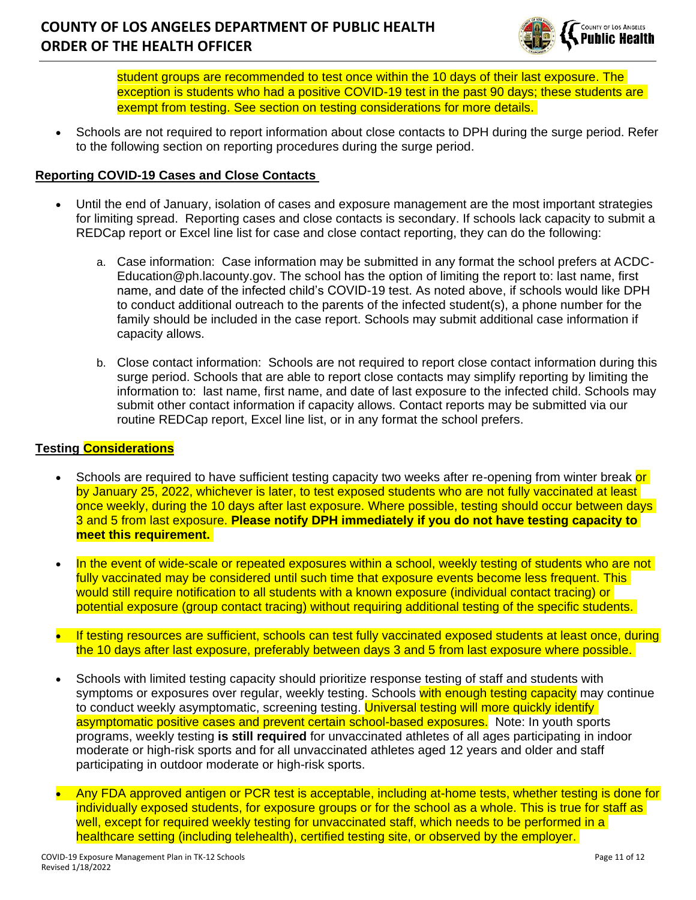

student groups are recommended to test once within the 10 days of their last exposure. The exception is students who had a positive COVID-19 test in the past 90 days; these students are exempt from testing. See section on testing considerations for more details.

Schools are not required to report information about close contacts to DPH during the surge period. Refer to the following section on reporting procedures during the surge period.

#### **Reporting COVID-19 Cases and Close Contacts**

- Until the end of January, isolation of cases and exposure management are the most important strategies for limiting spread. Reporting cases and close contacts is secondary. If schools lack capacity to submit a REDCap report or Excel line list for case and close contact reporting, they can do the following:
	- a. Case information: Case information may be submitted in any format the school prefers at ACDC-Education@ph.lacounty.gov. The school has the option of limiting the report to: last name, first name, and date of the infected child's COVID-19 test. As noted above, if schools would like DPH to conduct additional outreach to the parents of the infected student(s), a phone number for the family should be included in the case report. Schools may submit additional case information if capacity allows.
	- b. Close contact information: Schools are not required to report close contact information during this surge period. Schools that are able to report close contacts may simplify reporting by limiting the information to: last name, first name, and date of last exposure to the infected child. Schools may submit other contact information if capacity allows. Contact reports may be submitted via our routine REDCap report, Excel line list, or in any format the school prefers.

#### **Testing Considerations**

- Schools are required to have sufficient testing capacity two weeks after re-opening from winter break or by January 25, 2022, whichever is later, to test exposed students who are not fully vaccinated at least once weekly, during the 10 days after last exposure. Where possible, testing should occur between days 3 and 5 from last exposure. **Please notify DPH immediately if you do not have testing capacity to meet this requirement.**
- In the event of wide-scale or repeated exposures within a school, weekly testing of students who are not fully vaccinated may be considered until such time that exposure events become less frequent. This would still require notification to all students with a known exposure (individual contact tracing) or potential exposure (group contact tracing) without requiring additional testing of the specific students.
- If testing resources are sufficient, schools can test fully vaccinated exposed students at least once, during the 10 days after last exposure, preferably between days 3 and 5 from last exposure where possible.
- Schools with limited testing capacity should prioritize response testing of staff and students with symptoms or exposures over regular, weekly testing. Schools with enough testing capacity may continue to conduct weekly asymptomatic, screening testing. Universal testing will more quickly identify asymptomatic positive cases and prevent certain school-based exposures. Note: In youth sports programs, weekly testing **is still required** for unvaccinated athletes of all ages participating in indoor moderate or high-risk sports and for all unvaccinated athletes aged 12 years and older and staff participating in outdoor moderate or high-risk sports.
- Any FDA approved antigen or PCR test is acceptable, including at-home tests, whether testing is done for individually exposed students, for exposure groups or for the school as a whole. This is true for staff as well, except for required weekly testing for unvaccinated staff, which needs to be performed in a healthcare setting (including telehealth), certified testing site, or observed by the employer.